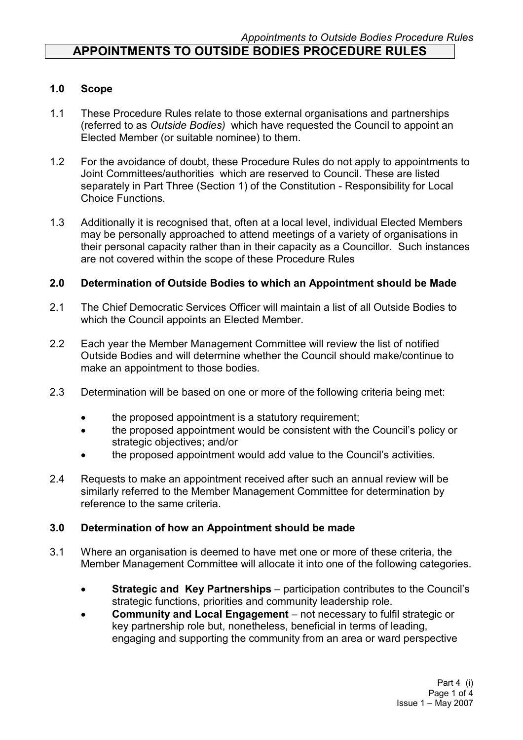### 1.0 Scope

- 1.1 These Procedure Rules relate to those external organisations and partnerships (referred to as Outside Bodies) which have requested the Council to appoint an Elected Member (or suitable nominee) to them.
- 1.2 For the avoidance of doubt, these Procedure Rules do not apply to appointments to Joint Committees/authorities which are reserved to Council. These are listed separately in Part Three (Section 1) of the Constitution - Responsibility for Local Choice Functions.
- 1.3 Additionally it is recognised that, often at a local level, individual Elected Members may be personally approached to attend meetings of a variety of organisations in their personal capacity rather than in their capacity as a Councillor. Such instances are not covered within the scope of these Procedure Rules

## 2.0 Determination of Outside Bodies to which an Appointment should be Made

- 2.1 The Chief Democratic Services Officer will maintain a list of all Outside Bodies to which the Council appoints an Elected Member.
- 2.2 Each year the Member Management Committee will review the list of notified Outside Bodies and will determine whether the Council should make/continue to make an appointment to those bodies.
- 2.3 Determination will be based on one or more of the following criteria being met:
	- the proposed appointment is a statutory requirement;
	- the proposed appointment would be consistent with the Council's policy or strategic objectives; and/or
	- the proposed appointment would add value to the Council's activities.
- 2.4 Requests to make an appointment received after such an annual review will be similarly referred to the Member Management Committee for determination by reference to the same criteria.

### 3.0 Determination of how an Appointment should be made

- 3.1 Where an organisation is deemed to have met one or more of these criteria, the Member Management Committee will allocate it into one of the following categories.
	- Strategic and Key Partnerships participation contributes to the Council's strategic functions, priorities and community leadership role.
	- Community and Local Engagement not necessary to fulfil strategic or key partnership role but, nonetheless, beneficial in terms of leading, engaging and supporting the community from an area or ward perspective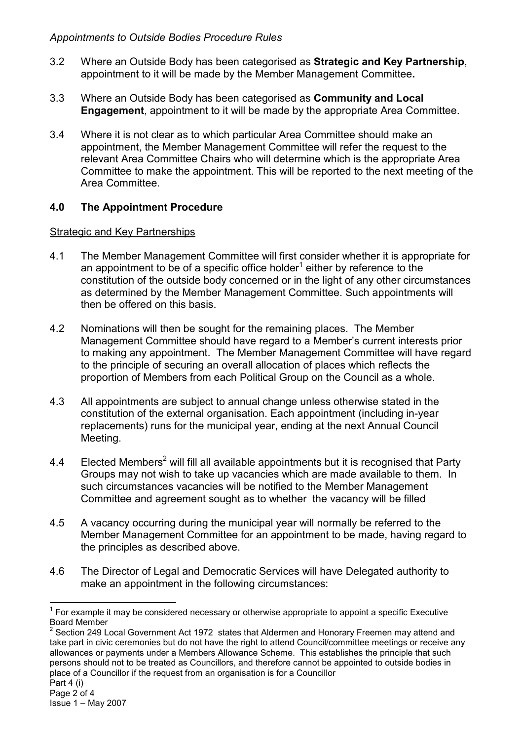- 3.2 Where an Outside Body has been categorised as Strategic and Key Partnership, appointment to it will be made by the Member Management Committee.
- 3.3 Where an Outside Body has been categorised as Community and Local Engagement, appointment to it will be made by the appropriate Area Committee.
- 3.4 Where it is not clear as to which particular Area Committee should make an appointment, the Member Management Committee will refer the request to the relevant Area Committee Chairs who will determine which is the appropriate Area Committee to make the appointment. This will be reported to the next meeting of the Area Committee.

# 4.0 The Appointment Procedure

### Strategic and Key Partnerships

- 4.1 The Member Management Committee will first consider whether it is appropriate for an appointment to be of a specific office holder<sup>1</sup> either by reference to the constitution of the outside body concerned or in the light of any other circumstances as determined by the Member Management Committee. Such appointments will then be offered on this basis.
- 4.2 Nominations will then be sought for the remaining places. The Member Management Committee should have regard to a Member's current interests prior to making any appointment. The Member Management Committee will have regard to the principle of securing an overall allocation of places which reflects the proportion of Members from each Political Group on the Council as a whole.
- 4.3 All appointments are subject to annual change unless otherwise stated in the constitution of the external organisation. Each appointment (including in-year replacements) runs for the municipal year, ending at the next Annual Council Meeting.
- 4.4 Elected Members<sup>2</sup> will fill all available appointments but it is recognised that Party Groups may not wish to take up vacancies which are made available to them. In such circumstances vacancies will be notified to the Member Management Committee and agreement sought as to whether the vacancy will be filled
- 4.5 A vacancy occurring during the municipal year will normally be referred to the Member Management Committee for an appointment to be made, having regard to the principles as described above.
- 4.6 The Director of Legal and Democratic Services will have Delegated authority to make an appointment in the following circumstances:

 $\overline{a}$  $1$  For example it may be considered necessary or otherwise appropriate to appoint a specific Executive Board Member

 $2$  Section 249 Local Government Act 1972 states that Aldermen and Honorary Freemen may attend and take part in civic ceremonies but do not have the right to attend Council/committee meetings or receive any allowances or payments under a Members Allowance Scheme. This establishes the principle that such persons should not to be treated as Councillors, and therefore cannot be appointed to outside bodies in place of a Councillor if the request from an organisation is for a Councillor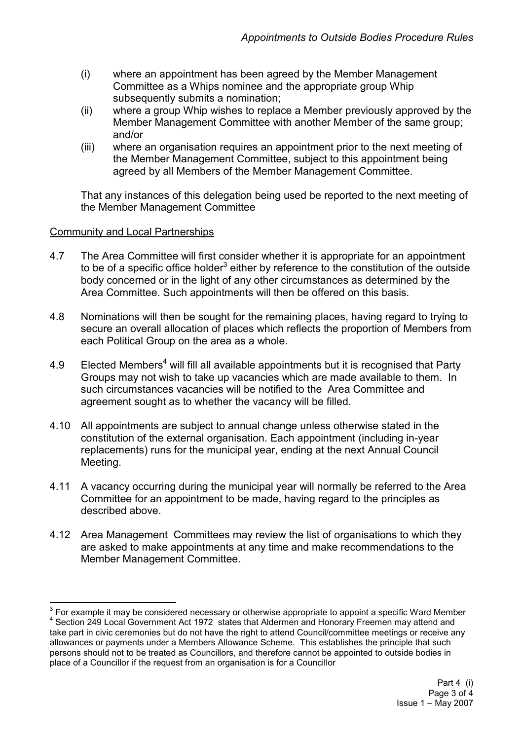- (i) where an appointment has been agreed by the Member Management Committee as a Whips nominee and the appropriate group Whip subsequently submits a nomination:
- (ii) where a group Whip wishes to replace a Member previously approved by the Member Management Committee with another Member of the same group; and/or
- (iii) where an organisation requires an appointment prior to the next meeting of the Member Management Committee, subject to this appointment being agreed by all Members of the Member Management Committee.

That any instances of this delegation being used be reported to the next meeting of the Member Management Committee

### Community and Local Partnerships

- 4.7 The Area Committee will first consider whether it is appropriate for an appointment to be of a specific office holder<sup>3</sup> either by reference to the constitution of the outside body concerned or in the light of any other circumstances as determined by the Area Committee. Such appointments will then be offered on this basis.
- 4.8 Nominations will then be sought for the remaining places, having regard to trying to secure an overall allocation of places which reflects the proportion of Members from each Political Group on the area as a whole.
- 4.9 Elected Members<sup>4</sup> will fill all available appointments but it is recognised that Party Groups may not wish to take up vacancies which are made available to them. In such circumstances vacancies will be notified to the Area Committee and agreement sought as to whether the vacancy will be filled.
- 4.10 All appointments are subject to annual change unless otherwise stated in the constitution of the external organisation. Each appointment (including in-year replacements) runs for the municipal year, ending at the next Annual Council Meeting.
- 4.11 A vacancy occurring during the municipal year will normally be referred to the Area Committee for an appointment to be made, having regard to the principles as described above.
- 4.12 Area Management Committees may review the list of organisations to which they are asked to make appointments at any time and make recommendations to the Member Management Committee.

 3 For example it may be considered necessary or otherwise appropriate to appoint a specific Ward Member 4 Section 249 Local Government Act 1972 states that Aldermen and Honorary Freemen may attend and take part in civic ceremonies but do not have the right to attend Council/committee meetings or receive any allowances or payments under a Members Allowance Scheme. This establishes the principle that such persons should not to be treated as Councillors, and therefore cannot be appointed to outside bodies in place of a Councillor if the request from an organisation is for a Councillor